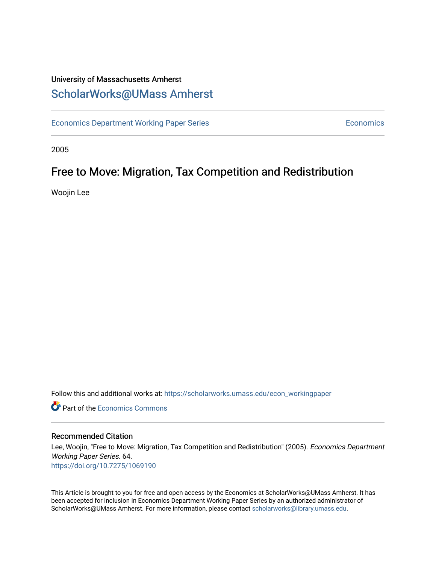## University of Massachusetts Amherst [ScholarWorks@UMass Amherst](https://scholarworks.umass.edu/)

[Economics Department Working Paper Series](https://scholarworks.umass.edu/econ_workingpaper) **Economics** Economics

2005

## Free to Move: Migration, Tax Competition and Redistribution

Woojin Lee

Follow this and additional works at: [https://scholarworks.umass.edu/econ\\_workingpaper](https://scholarworks.umass.edu/econ_workingpaper?utm_source=scholarworks.umass.edu%2Fecon_workingpaper%2F64&utm_medium=PDF&utm_campaign=PDFCoverPages) 

**C** Part of the [Economics Commons](http://network.bepress.com/hgg/discipline/340?utm_source=scholarworks.umass.edu%2Fecon_workingpaper%2F64&utm_medium=PDF&utm_campaign=PDFCoverPages)

#### Recommended Citation

Lee, Woojin, "Free to Move: Migration, Tax Competition and Redistribution" (2005). Economics Department Working Paper Series. 64. <https://doi.org/10.7275/1069190>

This Article is brought to you for free and open access by the Economics at ScholarWorks@UMass Amherst. It has been accepted for inclusion in Economics Department Working Paper Series by an authorized administrator of ScholarWorks@UMass Amherst. For more information, please contact [scholarworks@library.umass.edu.](mailto:scholarworks@library.umass.edu)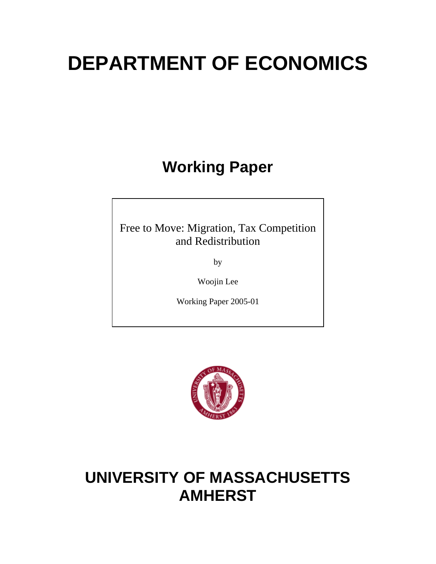# **DEPARTMENT OF ECONOMICS**

**Working Paper** 

Free to Move: Migration, Tax Competition and Redistribution

by

Woojin Lee

Working Paper 2005-01



## **UNIVERSITY OF MASSACHUSETTS AMHERST**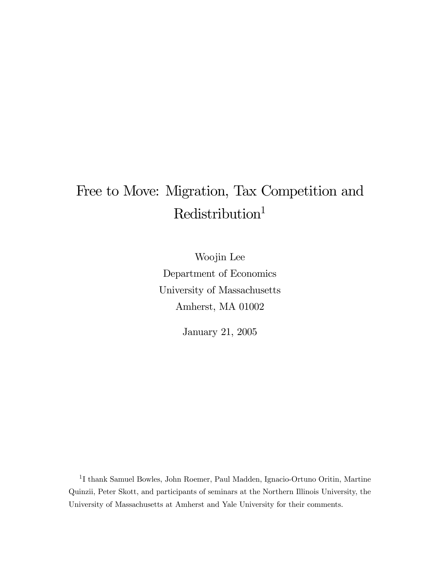## Free to Move: Migration, Tax Competition and  $\mbox{Redistribution}^1$

Woojin Lee Department of Economics University of Massachusetts Amherst, MA 01002

January 21, 2005

 $^1\mathrm{I}$ thank Samuel Bowles, John Roemer, Paul Madden, Ignacio-Ortuno Oritin, Martine Quinzii, Peter Skott, and participants of seminars at the Northern Illinois University, the University of Massachusetts at Amherst and Yale University for their comments.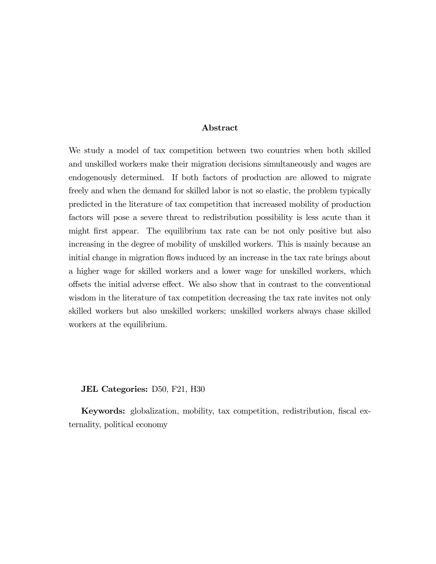#### Abstract

We study a model of tax competition between two countries when both skilled and unskilled workers make their migration decisions simultaneously and wages are endogenously determined. If both factors of production are allowed to migrate freely and when the demand for skilled labor is not so elastic, the problem typically predicted in the literature of tax competition that increased mobility of production factors will pose a severe threat to redistribution possibility is less acute than it might first appear. The equilibrium tax rate can be not only positive but also increasing in the degree of mobility of unskilled workers. This is mainly because an initial change in migration flows induced by an increase in the tax rate brings about a higher wage for skilled workers and a lower wage for unskilled workers, which offsets the initial adverse effect. We also show that in contrast to the conventional wisdom in the literature of tax competition decreasing the tax rate invites not only skilled workers but also unskilled workers; unskilled workers always chase skilled workers at the equilibrium.

#### JEL Categories: D50, F21, H30

Keywords: globalization, mobility, tax competition, redistribution, fiscal externality, political economy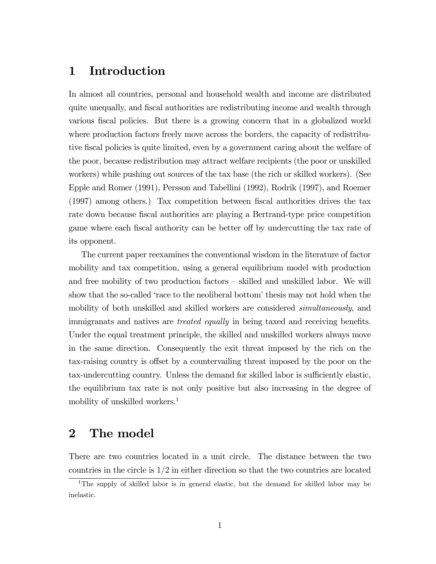## 1 Introduction

In almost all countries, personal and household wealth and income are distributed quite unequally, and fiscal authorities are redistributing income and wealth through various fiscal policies. But there is a growing concern that in a globalized world where production factors freely move across the borders, the capacity of redistributive fiscal policies is quite limited, even by a government caring about the welfare of the poor, because redistribution may attract welfare recipients (the poor or unskilled workers) while pushing out sources of the tax base (the rich or skilled workers). (See Epple and Romer (1991), Persson and Tabellini (1992), Rodrik (1997), and Roemer (1997) among others.) Tax competition between fiscal authorities drives the tax rate down because fiscal authorities are playing a Bertrand-type price competition game where each fiscal authority can be better off by undercutting the tax rate of its opponent.

The current paper reexamines the conventional wisdom in the literature of factor mobility and tax competition, using a general equilibrium model with production and free mobility of two production factors — skilled and unskilled labor. We will show that the so-called 'race to the neoliberal bottom' thesis may not hold when the mobility of both unskilled and skilled workers are considered *simultaneously*, and immigranats and natives are treated equally in being taxed and receiving benefits. Under the equal treatment principle, the skilled and unskilled workers always move in the same direction. Consequently the exit threat imposed by the rich on the tax-raising country is offset by a countervailing threat imposed by the poor on the tax-undercutting country. Unless the demand for skilled labor is sufficiently elastic, the equilibrium tax rate is not only positive but also increasing in the degree of mobility of unskilled workers.<sup>1</sup>

## 2 The model

There are two countries located in a unit circle. The distance between the two countries in the circle is  $1/2$  in either direction so that the two countries are located

<sup>1</sup>The supply of skilled labor is in general elastic, but the demand for skilled labor may be inelastic.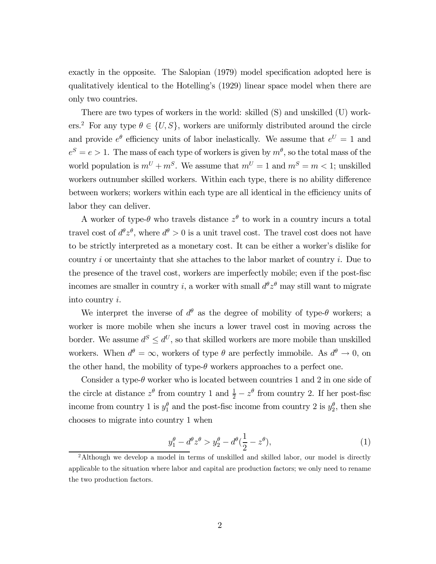exactly in the opposite. The Salopian (1979) model specification adopted here is qualitatively identical to the Hotelling's (1929) linear space model when there are only two countries.

There are two types of workers in the world: skilled (S) and unskilled (U) workers.<sup>2</sup> For any type  $\theta \in \{U, S\}$ , workers are uniformly distributed around the circle and provide  $e^{\theta}$  efficiency units of labor inelastically. We assume that  $e^U = 1$  and  $e^{S} = e > 1$ . The mass of each type of workers is given by  $m^{\theta}$ , so the total mass of the world population is  $m^U + m^S$ . We assume that  $m^U = 1$  and  $m^S = m < 1$ ; unskilled workers outnumber skilled workers. Within each type, there is no ability difference between workers; workers within each type are all identical in the efficiency units of labor they can deliver.

A worker of type- $\theta$  who travels distance  $z^{\theta}$  to work in a country incurs a total travel cost of  $d^{\theta}z^{\theta}$ , where  $d^{\theta} > 0$  is a unit travel cost. The travel cost does not have to be strictly interpreted as a monetary cost. It can be either a worker's dislike for country i or uncertainty that she attaches to the labor market of country i. Due to the presence of the travel cost, workers are imperfectly mobile; even if the post-fisc incomes are smaller in country i, a worker with small  $d^{\theta}z^{\theta}$  may still want to migrate into country i.

We interpret the inverse of  $d^{\theta}$  as the degree of mobility of type- $\theta$  workers; a worker is more mobile when she incurs a lower travel cost in moving across the border. We assume  $d^S \leq d^U$ , so that skilled workers are more mobile than unskilled workers. When  $d^{\theta} = \infty$ , workers of type  $\theta$  are perfectly immobile. As  $d^{\theta} \to 0$ , on the other hand, the mobility of type- $\theta$  workers approaches to a perfect one.

Consider a type- $\theta$  worker who is located between countries 1 and 2 in one side of the circle at distance  $z^{\theta}$  from country 1 and  $\frac{1}{2} - z^{\theta}$  from country 2. If her post-fisc income from country 1 is  $y_1^{\theta}$  and the post-fisc income from country 2 is  $y_2^{\theta}$ , then she chooses to migrate into country 1 when

$$
\frac{y_1^{\theta} - d^{\theta} z^{\theta} > y_2^{\theta} - d^{\theta} (\frac{1}{2} - z^{\theta}),\tag{1}
$$

<sup>&</sup>lt;sup>2</sup>Although we develop a model in terms of unskilled and skilled labor, our model is directly applicable to the situation where labor and capital are production factors; we only need to rename the two production factors.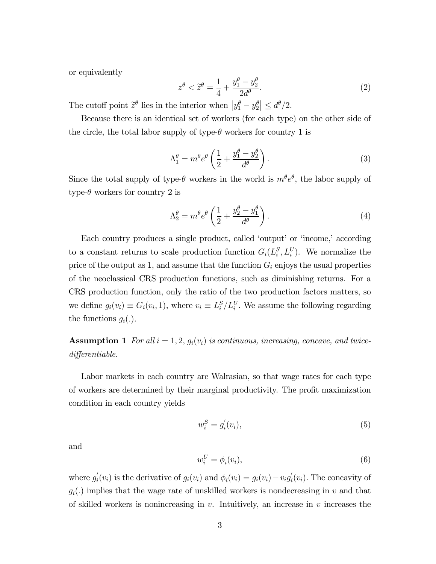or equivalently

$$
z^{\theta} < \tilde{z}^{\theta} = \frac{1}{4} + \frac{y_1^{\theta} - y_2^{\theta}}{2d^{\theta}}.
$$
 (2)

The cutoff point  $\tilde{z}^{\theta}$  lies in the interior when  $|y_1^{\theta} - y_2^{\theta}| \leq d^{\theta}/2$ .

Because there is an identical set of workers (for each type) on the other side of the circle, the total labor supply of type- $\theta$  workers for country 1 is

$$
\Lambda_1^{\theta} = m^{\theta} e^{\theta} \left( \frac{1}{2} + \frac{y_1^{\theta} - y_2^{\theta}}{d^{\theta}} \right). \tag{3}
$$

Since the total supply of type- $\theta$  workers in the world is  $m^{\theta}e^{\theta}$ , the labor supply of type- $\theta$  workers for country 2 is

$$
\Lambda_2^{\theta} = m^{\theta} e^{\theta} \left( \frac{1}{2} + \frac{y_2^{\theta} - y_1^{\theta}}{d^{\theta}} \right). \tag{4}
$$

Each country produces a single product, called 'output' or 'income,' according to a constant returns to scale production function  $G_i(L_i^S, L_i^U)$ . We normalize the price of the output as 1, and assume that the function  $G_i$  enjoys the usual properties of the neoclassical CRS production functions, such as diminishing returns. For a CRS production function, only the ratio of the two production factors matters, so we define  $g_i(v_i) \equiv G_i(v_i, 1)$ , where  $v_i \equiv L_i^S / L_i^U$ . We assume the following regarding the functions  $g_i(.)$ .

**Assumption 1** For all  $i = 1, 2, g_i(v_i)$  is continuous, increasing, concave, and twicedifferentiable.

Labor markets in each country are Walrasian, so that wage rates for each type of workers are determined by their marginal productivity. The profit maximization condition in each country yields

$$
w_i^S = g_i'(v_i),\tag{5}
$$

and

$$
w_i^U = \phi_i(v_i),\tag{6}
$$

where  $g'_i(v_i)$  is the derivative of  $g_i(v_i)$  and  $\phi_i(v_i) = g_i(v_i) - v_i g'_i(v_i)$ . The concavity of  $g_i(.)$  implies that the wage rate of unskilled workers is nondecreasing in v and that of skilled workers is nonincreasing in  $v$ . Intuitively, an increase in  $v$  increases the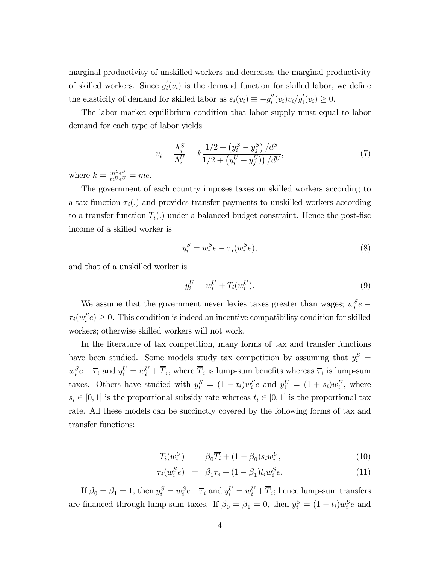marginal productivity of unskilled workers and decreases the marginal productivity of skilled workers. Since  $g_i'(v_i)$  is the demand function for skilled labor, we define the elasticity of demand for skilled labor as  $\varepsilon_i(v_i) \equiv -g_i''(v_i)v_i/g_i'(v_i) \ge 0$ .

The labor market equilibrium condition that labor supply must equal to labor demand for each type of labor yields

$$
v_i = \frac{\Lambda_i^S}{\Lambda_i^U} = k \frac{1/2 + \left(y_i^S - y_j^S\right)/d^S}{1/2 + \left(y_i^U - y_j^U\right)/d^U},\tag{7}
$$

where  $k = \frac{m^S e^S}{m^U e^U} = me$ .

The government of each country imposes taxes on skilled workers according to a tax function  $\tau_i(.)$  and provides transfer payments to unskilled workers according to a transfer function  $T_i(.)$  under a balanced budget constraint. Hence the post-fisc income of a skilled worker is

$$
y_i^S = w_i^S e - \tau_i(w_i^S e),\tag{8}
$$

and that of a unskilled worker is

$$
y_i^U = w_i^U + T_i(w_i^U). \tag{9}
$$

We assume that the government never levies taxes greater than wages;  $w_i^S e$  –  $\tau_i(w_i^S e) \geq 0$ . This condition is indeed an incentive compatibility condition for skilled workers; otherwise skilled workers will not work.

In the literature of tax competition, many forms of tax and transfer functions have been studied. Some models study tax competition by assuming that  $y_i^S$  =  $w_i^S e - \overline{\tau}_i$  and  $y_i^U = w_i^U + \overline{T}_i$ , where  $\overline{T}_i$  is lump-sum benefits whereas  $\overline{\tau}_i$  is lump-sum taxes. Others have studied with  $y_i^S = (1 - t_i)w_i^S e$  and  $y_i^U = (1 + s_i)w_i^U$ , where  $s_i \in [0,1]$  is the proportional subsidy rate whereas  $t_i \in [0,1]$  is the proportional tax rate. All these models can be succinctly covered by the following forms of tax and transfer functions:

$$
T_i(w_i^U) = \beta_0 \overline{T_i} + (1 - \beta_0) s_i w_i^U, \qquad (10)
$$

$$
\tau_i(w_i^S e) = \beta_1 \overline{\tau_i} + (1 - \beta_1) t_i w_i^S e. \tag{11}
$$

If  $\beta_0 = \beta_1 = 1$ , then  $y_i^S = w_i^S e - \overline{\tau}_i$  and  $y_i^U = w_i^U + \overline{T}_i$ ; hence lump-sum transfers are financed through lump-sum taxes. If  $\beta_0 = \beta_1 = 0$ , then  $y_i^S = (1 - t_i)w_i^S e$  and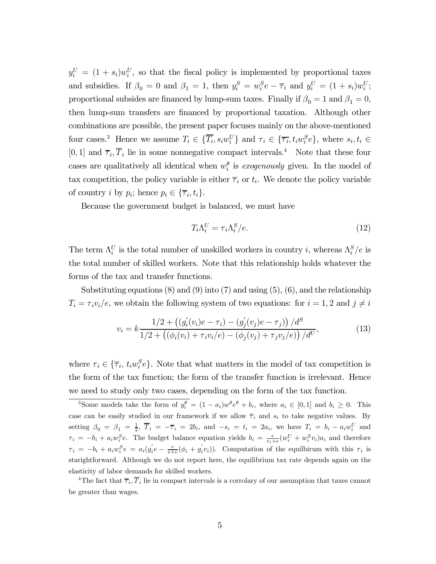$y_i^U = (1 + s_i)w_i^U$ , so that the fiscal policy is implemented by proportional taxes and subsidies. If  $\beta_0 = 0$  and  $\beta_1 = 1$ , then  $y_i^S = w_i^S e - \overline{\tau}_i$  and  $y_i^U = (1 + s_i)w_i^U$ ; proportional subsides are financed by lump-sum taxes. Finally if  $\beta_0 = 1$  and  $\beta_1 = 0$ , then lump-sum transfers are financed by proportional taxation. Although other combinations are possible, the present paper focuses mainly on the above-mentioned four cases.<sup>3</sup> Hence we assume  $T_i \in \{\overline{T_i}, s_i w_i^U\}$  and  $\tau_i \in \{\overline{\tau_i}, t_i w_i^S e\}$ , where  $s_i, t_i \in$ [0, 1] and  $\overline{\tau}_i$ ,  $\overline{T}_i$  lie in some nonnegative compact intervals.<sup>4</sup> Note that these four cases are qualitatively all identical when  $w_i^{\theta}$  is exogenously given. In the model of tax competition, the policy variable is either  $\overline{\tau}_i$  or  $t_i$ . We denote the policy variable of country i by  $p_i$ ; hence  $p_i \in {\overline{\tau}_i, t_i}$ .

Because the government budget is balanced, we must have

$$
T_i \Lambda_i^U = \tau_i \Lambda_i^S / e. \tag{12}
$$

The term  $\Lambda_i^U$  is the total number of unskilled workers in country *i*, whereas  $\Lambda_i^S/e$  is the total number of skilled workers. Note that this relationship holds whatever the forms of the tax and transfer functions.

Substituting equations  $(8)$  and  $(9)$  into  $(7)$  and using  $(5)$ ,  $(6)$ , and the relationship  $T_i = \tau_i v_i / e$ , we obtain the following system of two equations: for  $i = 1, 2$  and  $j \neq i$ 

$$
v_i = k \frac{1/2 + ((g_i'(v_i)e - \tau_i) - (g_j'(v_j)e - \tau_j))/d^S}{1/2 + ((\phi_i(v_i) + \tau_i v_i/e) - (\phi_j(v_j) + \tau_j v_j/e))/d^U},
$$
(13)

where  $\tau_i \in {\{\overline{\tau}_i, t_i w_i^S e\}}$ . Note that what matters in the model of tax competition is the form of the tax function; the form of the transfer function is irrelevant. Hence we need to study only two cases, depending on the form of the tax function.

<sup>3</sup>Some models take the form of  $y_i^{\theta} = (1 - a_i)w^{\theta}e^{\theta} + b_i$ , where  $a_i \in [0, 1]$  and  $b_i \ge 0$ . This case can be easily studied in our framework if we allow  $\overline{\tau}_i$  and  $s_i$  to take negative values. By setting  $\beta_0 = \beta_1 = \frac{1}{2}$ ,  $\overline{T}_i = -\overline{\tau}_i = 2b_i$ , and  $-s_i = t_i = 2a_i$ , we have  $T_i = b_i - a_i w_i^U$  and  $\tau_i = -b_i + a_i w_i^S e$ . The budget balance equation yields  $b_i = \frac{e}{v_i+e} (w_i^U + w_i^S v_i) a_i$  and therefore  $\tau_i = -b_i + a_i w_i^S e = a_i (g_i' e - \frac{e}{v+e} (\phi_i + g_i' v_i)).$  Computation of the equilibrum with this  $\tau_i$  is starightforward. Although we do not report here, the equilibrium tax rate depends again on the elasticity of labor demands for skilled workers.

<sup>4</sup>The fact that  $\overline{\tau}_i$ ,  $\overline{T}_i$  lie in compact intervals is a corrolary of our assumption that taxes cannot be greater than wages.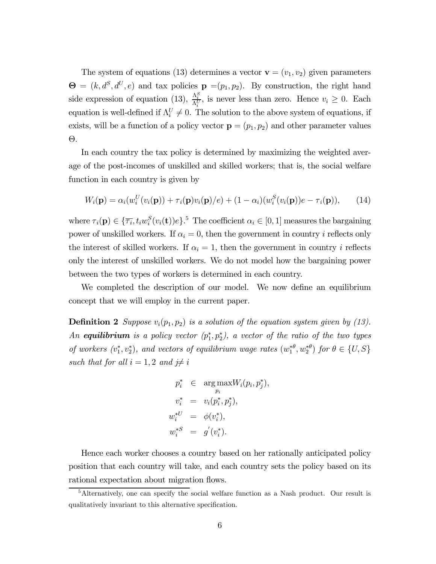The system of equations (13) determines a vector  $\mathbf{v} = (v_1, v_2)$  given parameters  $\Theta = (k, d^S, d^U, e)$  and tax policies  $\mathbf{p} = (p_1, p_2)$ . By construction, the right hand side expression of equation (13),  $\frac{\Lambda_i^S}{\Lambda_i^U}$ , is never less than zero. Hence  $v_i \geq 0$ . Each equation is well-defined if  $\Lambda_i^U \neq 0$ . The solution to the above system of equations, if exists, will be a function of a policy vector  $\mathbf{p} = (p_1, p_2)$  and other parameter values Θ.

In each country the tax policy is determined by maximizing the weighted average of the post-incomes of unskilled and skilled workers; that is, the social welfare function in each country is given by

$$
W_i(\mathbf{p}) = \alpha_i(w_i^U(v_i(\mathbf{p})) + \tau_i(\mathbf{p})v_i(\mathbf{p})/e) + (1 - \alpha_i)(w_i^S(v_i(\mathbf{p}))e - \tau_i(\mathbf{p})), \qquad (14)
$$

where  $\tau_i(\mathbf{p}) \in {\{\overline{\tau}_i, t_i w_i^S(v_i(\mathbf{t}))e\}}$ .<sup>5</sup> The coefficient  $\alpha_i \in [0, 1]$  measures the bargaining power of unskilled workers. If  $\alpha_i = 0$ , then the government in country *i* reflects only the interest of skilled workers. If  $\alpha_i = 1$ , then the government in country i reflects only the interest of unskilled workers. We do not model how the bargaining power between the two types of workers is determined in each country.

We completed the description of our model. We now define an equilibrium concept that we will employ in the current paper.

**Definition 2** Suppose  $v_i(p_1, p_2)$  is a solution of the equation system given by (13). An **equilibrium** is a policy vector  $(p_1^*, p_2^*)$ , a vector of the ratio of the two types of workers  $(v_1^*, v_2^*)$ , and vectors of equilibrium wage rates  $(w_1^{*\theta}, w_2^{*\theta})$  for  $\theta \in \{U, S\}$ such that for all  $i = 1, 2$  and  $j \neq i$ 

$$
p_i^* \in \arg \max_{p_i} W_i(p_i, p_j^*),
$$
  
\n
$$
v_i^* = v_i(p_i^*, p_j^*),
$$
  
\n
$$
w_i^{*U} = \phi(v_i^*),
$$
  
\n
$$
w_i^{*S} = g'(v_i^*).
$$

Hence each worker chooses a country based on her rationally anticipated policy position that each country will take, and each country sets the policy based on its rational expectation about migration flows.

<sup>&</sup>lt;sup>5</sup>Alternatively, one can specify the social welfare function as a Nash product. Our result is qualitatively invariant to this alternative specification.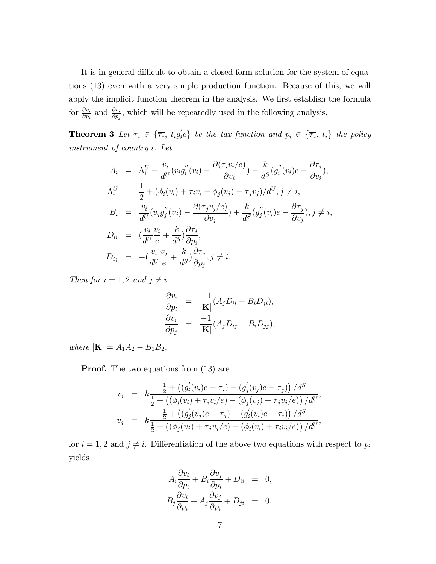It is in general difficult to obtain a closed-form solution for the system of equations (13) even with a very simple production function. Because of this, we will apply the implicit function theorem in the analysis. We first establish the formula for  $\frac{\partial v_i}{\partial p_i}$  and  $\frac{\partial v_i}{\partial p_j}$ , which will be repeatedly used in the following analysis.

**Theorem 3** Let  $\tau_i \in {\overline{\tau_i}}, t_i g_i' e$  be the tax function and  $p_i \in {\overline{\tau_i}}, t_i$  the policy instrument of country i. Let

$$
A_i = \Lambda_i^U - \frac{v_i}{d^U}(v_i g_i''(v_i) - \frac{\partial (\tau_i v_i/e)}{\partial v_i}) - \frac{k}{d^S}(g_i''(v_i)e - \frac{\partial \tau_i}{\partial v_i}),
$$
  
\n
$$
\Lambda_i^U = \frac{1}{2} + (\phi_i(v_i) + \tau_i v_i - \phi_j(v_j) - \tau_j v_j)/d^U, j \neq i,
$$
  
\n
$$
B_i = \frac{v_i}{d^U}(v_j g_j''(v_j) - \frac{\partial (\tau_j v_j/e)}{\partial v_j}) + \frac{k}{d^S}(g_j''(v_i)e - \frac{\partial \tau_j}{\partial v_j}), j \neq i,
$$
  
\n
$$
D_{ii} = (\frac{v_i}{d^U}\frac{v_i}{e} + \frac{k}{d^S})\frac{\partial \tau_i}{\partial p_i},
$$
  
\n
$$
D_{ij} = -(\frac{v_i}{d^U}\frac{v_j}{e} + \frac{k}{d^S})\frac{\partial \tau_j}{\partial p_j}, j \neq i.
$$

Then for  $i = 1, 2$  and  $j \neq i$ 

$$
\frac{\partial v_i}{\partial p_i} = \frac{-1}{|\mathbf{K}|} (A_j D_{ii} - B_i D_{ji}),
$$
  
\n
$$
\frac{\partial v_i}{\partial p_j} = \frac{-1}{|\mathbf{K}|} (A_j D_{ij} - B_i D_{jj}),
$$

where  $|\mathbf{K}| = A_1 A_2 - B_1 B_2$ .

**Proof.** The two equations from  $(13)$  are

$$
v_i = k \frac{\frac{1}{2} + ((g_i'(v_i)e - \tau_i) - (g_j'(v_j)e - \tau_j))/d^S}{\frac{1}{2} + ((\phi_i(v_i) + \tau_i v_i/e) - (\phi_j(v_j) + \tau_j v_j/e))/d^U},
$$
  

$$
v_j = k \frac{\frac{1}{2} + ((g_j'(v_j)e - \tau_j) - (g_i'(v_i)e - \tau_i))/d^S}{\frac{1}{2} + ((\phi_j(v_j) + \tau_j v_j/e) - (\phi_i(v_i) + \tau_i v_i/e))/d^U},
$$

for  $i = 1, 2$  and  $j \neq i$ . Differentiation of the above two equations with respect to  $p_i$ yields

$$
A_i \frac{\partial v_i}{\partial p_i} + B_i \frac{\partial v_j}{\partial p_i} + D_{ii} = 0,
$$
  
\n
$$
B_j \frac{\partial v_i}{\partial p_i} + A_j \frac{\partial v_j}{\partial p_i} + D_{ji} = 0.
$$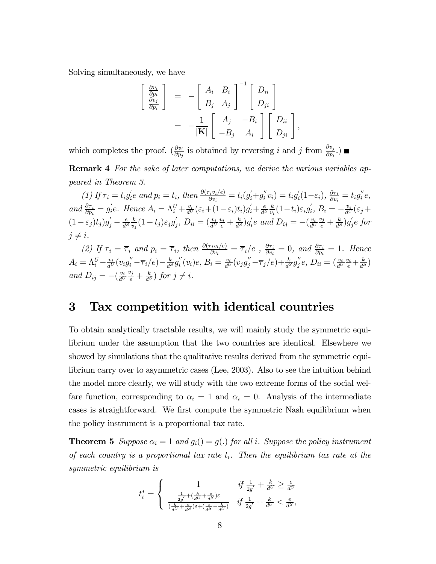Solving simultaneously, we have

$$
\begin{bmatrix}\n\frac{\partial v_i}{\partial p_i} \\
\frac{\partial v_j}{\partial p_i}\n\end{bmatrix} = -\begin{bmatrix}\nA_i & B_i \\
B_j & A_j\n\end{bmatrix}^{-1} \begin{bmatrix}\nD_{ii} \\
D_{ji}\n\end{bmatrix}
$$
\n
$$
= -\frac{1}{|\mathbf{K}|} \begin{bmatrix}\nA_j & -B_i \\
-B_j & A_i\n\end{bmatrix} \begin{bmatrix}\nD_{ii} \\
D_{ji}\n\end{bmatrix}
$$

,

which completes the proof.  $\left(\frac{\partial v_i}{\partial p_j}\right)$  is obtained by reversing i and j from  $\frac{\partial v_j}{\partial p_i}$ .

Remark 4 For the sake of later computations, we derive the various variables appeared in Theorem 3.

(1) If  $\tau_i = t_i g_i' e$  and  $p_i = t_i$ , then  $\frac{\partial (\tau_i v_i/e)}{\partial v_i} = t_i (g_i' + g_i'' v_i) = t_i g_i' (1 - \varepsilon_i)$ ,  $\frac{\partial \tau_i}{\partial v_i} = t_i g_i'' e$ , and  $\frac{\partial \tau_i}{\partial p_i} = g_i'e$ . Hence  $A_i = \Lambda_i^U + \frac{v_i}{d^U}(\varepsilon_i + (1-\varepsilon_i)t_i)g_i' + \frac{e}{d^S}$ k  $\frac{k}{v_i}(1-t_i)\varepsilon_i g_i^{'},\, B_i=-\frac{v_i}{d^U}(\varepsilon_j+$  $(1-\varepsilon_j)t_j$ ) $g'_j - \frac{e}{d^s}$ k  $\frac{k}{v_j}(1-t_j)\varepsilon_j g_j^{'},\ D_{ii}=(\frac{v_i}{d^U})$  $\frac{v_i}{e} + \frac{k}{d^S}g'_i e$  and  $D_{ij} = -(\frac{v_i}{d^U})$  $\frac{v_j}{e} + \frac{k}{d^S} g_j e$  for  $i \neq i$ .

(2) If  $\tau_i = \overline{\tau}_i$  and  $p_i = \overline{\tau}_i$ , then  $\frac{\partial (\tau_i v_i/e)}{\partial v_i} = \overline{\tau}_i/e$  ,  $\frac{\partial \tau_i}{\partial v_i} = 0$ , and  $\frac{\partial \tau_i}{\partial p_i} = 1$ . Hence  $A_i=\Lambda_i^U-\frac{v_i}{d^U}(v_ig_i''-\overline{\tau}_i/e)-\frac{k}{d^S}g_i^{''}(v_i)e,\, B_i=\frac{v_i}{d^U}(v_jg_j''-\overline{\tau}_j/e)+\frac{k}{d^S}g_j^{''}e,\, D_{ii}=(\frac{v_i}{d^U}$  $\frac{v_i}{e} + \frac{k}{d^S}$ and  $D_{ij} = -\left(\frac{v_i}{d^U}\right)$  $\frac{v_j}{e} + \frac{k}{d^S}$  for  $j \neq i$ .

### 3 Tax competition with identical countries

To obtain analytically tractable results, we will mainly study the symmetric equilibrium under the assumption that the two countries are identical. Elsewhere we showed by simulations that the qualitative results derived from the symmetric equilibrium carry over to asymmetric cases (Lee, 2003). Also to see the intuition behind the model more clearly, we will study with the two extreme forms of the social welfare function, corresponding to  $\alpha_i = 1$  and  $\alpha_i = 0$ . Analysis of the intermediate cases is straightforward. We first compute the symmetric Nash equilibrium when the policy instrument is a proportional tax rate.

**Theorem 5** Suppose  $\alpha_i = 1$  and  $g_i() = g(.)$  for all i. Suppose the policy instrument of each country is a proportional tax rate  $t_i$ . Then the equilibrium tax rate at the symmetric equilibrium is

$$
t_i^* = \left\{ \begin{array}{ccl} 1 & if \, \frac{1}{2g'} + \frac{k}{d^U} \geq \frac{e}{d^S} \\ \frac{\frac{1}{2g'} + (\frac{k}{d^U} + \frac{e}{d^S})\varepsilon}{(\frac{k}{d^U} + \frac{e}{d^S})\varepsilon + (\frac{e}{d^S} - \frac{k}{d^U})} & if \, \frac{1}{2g'} + \frac{k}{d^U} < \frac{e}{d^S}, \end{array} \right.
$$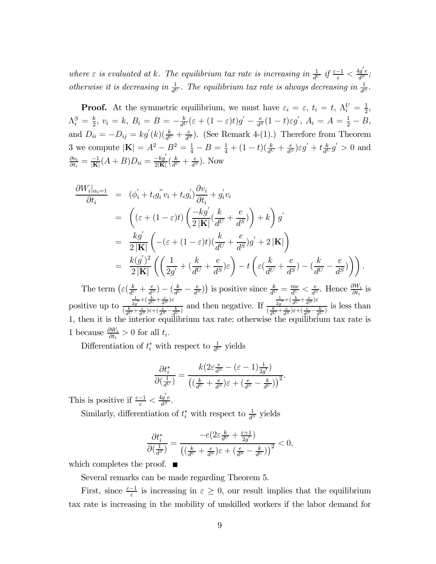where  $\varepsilon$  is evaluated at k. The equilibrium tax rate is increasing in  $\frac{1}{d^U}$  if  $\frac{\varepsilon-1}{\varepsilon} < \frac{4g'e}{d^S}$ ; otherwise it is decreasing in  $\frac{1}{d^U}$ . The equilibrium tax rate is always decreasing in  $\frac{1}{d^S}$ .

**Proof.** At the symmetric equilibrium, we must have  $\varepsilon_i = \varepsilon$ ,  $t_i = t$ ,  $\Lambda_i^U = \frac{1}{2}$ ,  $\Lambda_i^S = \frac{k}{2}, v_i = k, B_i = B = -\frac{k}{d^U}(\varepsilon + (1-\varepsilon)t)g' - \frac{e}{d^S}(1-t)\varepsilon g', A_i = A = \frac{1}{2} - B,$ and  $D_{ii} = -D_{ij} = kg'(k)(\frac{k}{d^U} + \frac{e}{d^S})$ . (See Remark 4-(1).) Therefore from Theorem 3 we compute  $|\mathbf{K}| = A^2 - B^2 = \frac{1}{4} - B = \frac{1}{4} + (1 - t)(\frac{k}{d^U} + \frac{e}{d^S})\varepsilon g' + t\frac{k}{d^U}g' > 0$  and  $\frac{\partial v_i}{\partial t_i} = \frac{-1}{|\mathbf{K}|}(A+B)D_{ii} = \frac{-kg'}{2|\mathbf{K}|}(\frac{k}{d^U} + \frac{e}{d^S}).$  Now

$$
\frac{\partial W_i|_{\alpha_i=1}}{\partial t_i} = (\phi_i' + t_i g_i'' v_i + t_i g_i') \frac{\partial v_i}{\partial t_i} + g_i' v_i
$$
  
\n
$$
= ((\varepsilon + (1 - \varepsilon)t) \left( \frac{-kg'}{2|\mathbf{K}|} (\frac{k}{d^U} + \frac{e}{d^S}) \right) + k) g'
$$
  
\n
$$
= \frac{k g'}{2|\mathbf{K}|} \left( -(\varepsilon + (1 - \varepsilon)t) (\frac{k}{d^U} + \frac{e}{d^S}) g' + 2|\mathbf{K}| \right)
$$
  
\n
$$
= \frac{k (g')^2}{2|\mathbf{K}|} \left( \left( \frac{1}{2g'} + (\frac{k}{d^U} + \frac{e}{d^S}) \varepsilon \right) - t \left( \varepsilon (\frac{k}{d^U} + \frac{e}{d^S}) - (\frac{k}{d^U} - \frac{e}{d^S}) \right) \right).
$$

The term  $\left(\varepsilon\left(\frac{k}{d^U}+\frac{e}{d^S}\right)-\left(\frac{k}{d^U}-\frac{e}{d^S}\right)\right)$  is positive since  $\frac{k}{d^U}=\frac{me}{d^U}<\frac{e}{d^S}$ . Hence  $\frac{\partial W_i}{\partial t_i}$  is positive up to  $\frac{1}{2g'} + (\frac{k}{dU} + \frac{e}{dS})\varepsilon$  $\frac{2g^{'}+e^{(k)}-d^{(k)}-d^{(k)}}{(d^k-1)e^{(k)}+e^{(k)}-d^{(k)}+d^{(k)}}$  and then negative. If  $\frac{1}{2g'} + (\frac{k}{dU} + \frac{e}{dS})\varepsilon$  $\frac{2g}{\left(\frac{k}{dU}+\frac{e}{dS}\right)\varepsilon+\left(\frac{e}{dS}-\frac{k}{dU}\right)}$  is less than 1, then it is the interior equilibrium tax rate; otherwise the equilibrium tax rate is 1 because  $\frac{\partial W_i}{\partial t_i} > 0$  for all  $t_i$ .

Differentiation of  $t_i^*$  with respect to  $\frac{1}{d^U}$  yields

$$
\frac{\partial t^*_i}{\partial (\frac{1}{d^U})} = \frac{k\big(2\varepsilon\frac{e}{d^S}-(\varepsilon-1)\frac{1}{2g'}\big)}{\big((\frac{k}{d^U}+\frac{e}{d^S})\varepsilon + (\frac{e}{d^S}-\frac{k}{d^U})\big)^2}.
$$

This is positive if  $\frac{\varepsilon - 1}{\varepsilon} < \frac{4g'e}{d^S}$ .

Similarly, differentiation of  $t_i^*$  with respect to  $\frac{1}{d^S}$  yields

$$
\frac{\partial t_i^*}{\partial (\frac{1}{d^S})} = \frac{-e\left(2\varepsilon \frac{k}{d^U} + \frac{\varepsilon+1}{2g'}\right)}{\left(\left(\frac{k}{d^U} + \frac{e}{d^S}\right)\varepsilon + \left(\frac{e}{d^S} - \frac{k}{d^U}\right)\right)^2} < 0,
$$

which completes the proof.  $\blacksquare$ 

Several remarks can be made regarding Theorem 5.

First, since  $\frac{\varepsilon-1}{\varepsilon}$  is increasing in  $\varepsilon \geq 0$ , our result implies that the equilibrium tax rate is increasing in the mobility of unskilled workers if the labor demand for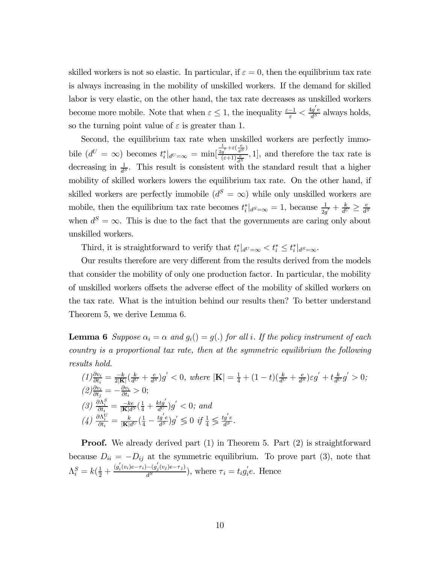skilled workers is not so elastic. In particular, if  $\varepsilon = 0$ , then the equilibrium tax rate is always increasing in the mobility of unskilled workers. If the demand for skilled labor is very elastic, on the other hand, the tax rate decreases as unskilled workers become more mobile. Note that when  $\varepsilon \leq 1$ , the inequality  $\frac{\varepsilon - 1}{\varepsilon} < \frac{4g'e}{d^S}$  always holds, so the turning point value of  $\varepsilon$  is greater than 1.

Second, the equilibrium tax rate when unskilled workers are perfectly immobile  $(d^U = \infty)$  becomes  $t_i^*|_{d^U = \infty} = \min[$  $\frac{1}{2g'}+\varepsilon\left(\frac{e}{d^S}\right)$  $(\frac{g'}{(\varepsilon+1)\frac{e}{d^S}}, 1]$ , and therefore the tax rate is decreasing in  $\frac{1}{d^s}$ . This result is consistent with the standard result that a higher mobility of skilled workers lowers the equilibrium tax rate. On the other hand, if skilled workers are perfectly immobile  $(d^S = \infty)$  while only unskilled workers are mobile, then the equilibrium tax rate becomes  $t_i^*|_{d^S=\infty} = 1$ , because  $\frac{1}{2g'} + \frac{k}{d^U} \ge \frac{e}{d^S}$ when  $d^{S} = \infty$ . This is due to the fact that the governments are caring only about unskilled workers.

Third, it is straightforward to verify that  $t_i^*|_{d^U=\infty} < t_i^* \leq t_i^*|_{d^S=\infty}$ .

Our results therefore are very different from the results derived from the models that consider the mobility of only one production factor. In particular, the mobility of unskilled workers offsets the adverse effect of the mobility of skilled workers on the tax rate. What is the intuition behind our results then? To better understand Theorem 5, we derive Lemma 6.

**Lemma 6** Suppose  $\alpha_i = \alpha$  and  $g_i() = g(.)$  for all i. If the policy instrument of each country is a proportional tax rate, then at the symmetric equilibrium the following results hold.

$$
(1) \frac{\partial v_i}{\partial t_i} = \frac{-k}{2|\mathbf{K}|} \left(\frac{k}{d^U} + \frac{e}{d^S}\right) g' < 0, \text{ where } |\mathbf{K}| = \frac{1}{4} + (1 - t) \left(\frac{k}{d^U} + \frac{e}{d^S}\right) \varepsilon g' + t \frac{k}{d^U} g' > 0;
$$
\n
$$
(2) \frac{\partial v_i}{\partial t_i} = -\frac{\partial v_i}{\partial t_i} > 0;
$$
\n
$$
(3) \frac{\partial \Lambda_i^S}{\partial t_i} = \frac{-ke}{|\mathbf{K}|d^S} \left(\frac{1}{4} + \frac{ktg'}{d^U}\right) g' < 0; \text{ and }
$$
\n
$$
(4) \frac{\partial \Lambda_i^U}{\partial t_i} = \frac{k}{|\mathbf{K}|d^U} \left(\frac{1}{4} - \frac{tg'e}{d^S}\right) g' \leq 0 \text{ if } \frac{1}{4} \leq \frac{tg'e}{d^S}.
$$

**Proof.** We already derived part (1) in Theorem 5. Part (2) is straightforward because  $D_{ii} = -D_{ij}$  at the symmetric equilibrium. To prove part (3), note that  $\Lambda_i^S = k(\frac{1}{2} + \frac{(g_i^{'}(v_i)e - \tau_i) - (g_j^{'}(v_j)e - \tau_j)}{d^S}),$  where  $\tau_i = t_i g_i^{'}e$ . Hence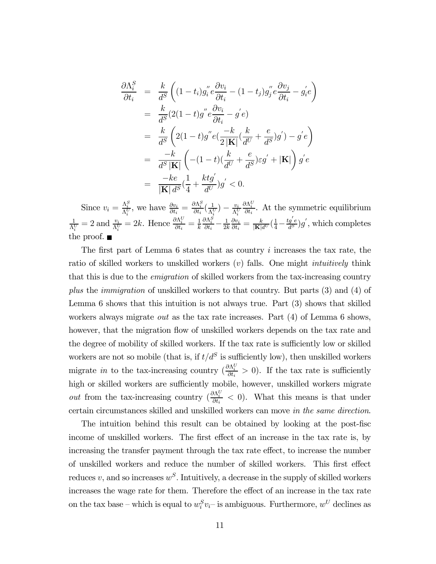$$
\frac{\partial \Lambda_i^S}{\partial t_i} = \frac{k}{d^S} \left( (1-t_i) g_i^{"} e \frac{\partial v_i}{\partial t_i} - (1-t_j) g_j^{"} e \frac{\partial v_j}{\partial t_i} - g_i^{'} e \right)
$$
  
\n
$$
= \frac{k}{d^S} (2(1-t) g^{"} e \frac{\partial v_i}{\partial t_i} - g^{'} e)
$$
  
\n
$$
= \frac{k}{d^S} \left( 2(1-t) g^{"} e \left( \frac{-k}{2|\mathbf{K}|} \left( \frac{k}{d^U} + \frac{e}{d^S} \right) g^{'} \right) - g^{'} e \right)
$$
  
\n
$$
= \frac{-k}{d^S |\mathbf{K}|} \left( -(1-t) \left( \frac{k}{d^U} + \frac{e}{d^S} \right) \varepsilon g^{'} + |\mathbf{K}| \right) g^{'} e
$$
  
\n
$$
= \frac{-ke}{|\mathbf{K}| d^S} \left( \frac{1}{4} + \frac{k t g^{'}}{d^U} \right) g^{'} < 0.
$$

Since  $v_i = \frac{\Lambda_i^S}{\Lambda_i^U}$ , we have  $\frac{\partial v_i}{\partial t_i} = \frac{\partial \Lambda_i^S}{\partial t_i}(\frac{1}{\Lambda_i^U}) - \frac{v_i}{\Lambda_i^U}$ i  $\omega_i$   $\omega_i$   $\Delta_i$  $\frac{\partial \Lambda_i^U}{\partial t_i}$ . At the symmetric equilibrium 1  $\frac{1}{\Lambda_i^U} = 2$  and  $\frac{v_i}{\Lambda_i^U} = 2k$ . Hence  $\frac{\partial \Lambda_i^U}{\partial t_i} = \frac{1}{k}$  $\frac{\partial \Lambda_i^S}{\partial t_i} - \frac{1}{2k}$  $\frac{\partial v_i}{\partial t_i} = \frac{k}{|\mathbf{K}|d^U} \left(\frac{1}{4} - \frac{tg'e}{d^S}\right)g'$ , which completes the proof.  $\blacksquare$ 

The first part of Lemma  $6$  states that as country  $i$  increases the tax rate, the ratio of skilled workers to unskilled workers  $(v)$  falls. One might *intuitively* think that this is due to the emigration of skilled workers from the tax-increasing country plus the immigration of unskilled workers to that country. But parts (3) and (4) of Lemma 6 shows that this intuition is not always true. Part (3) shows that skilled workers always migrate *out* as the tax rate increases. Part (4) of Lemma 6 shows, however, that the migration flow of unskilled workers depends on the tax rate and the degree of mobility of skilled workers. If the tax rate is sufficiently low or skilled workers are not so mobile (that is, if  $t/d<sup>S</sup>$  is sufficiently low), then unskilled workers migrate in to the tax-increasing country  $\left(\frac{\partial \Lambda_i^U}{\partial t_i}\right) > 0$ . If the tax rate is sufficiently high or skilled workers are sufficiently mobile, however, unskilled workers migrate *out* from the tax-increasing country  $\left(\frac{\partial \Lambda_i^U}{\partial t_i} \right)$  (S). What this means is that under certain circumstances skilled and unskilled workers can move in the same direction.

The intuition behind this result can be obtained by looking at the post-fisc income of unskilled workers. The first effect of an increase in the tax rate is, by increasing the transfer payment through the tax rate effect, to increase the number of unskilled workers and reduce the number of skilled workers. This first effect reduces v, and so increases  $w^S$ . Intuitively, a decrease in the supply of skilled workers increases the wage rate for them. Therefore the effect of an increase in the tax rate on the tax base – which is equal to  $w_i^S v_i$  – is ambiguous. Furthermore,  $w^U$  declines as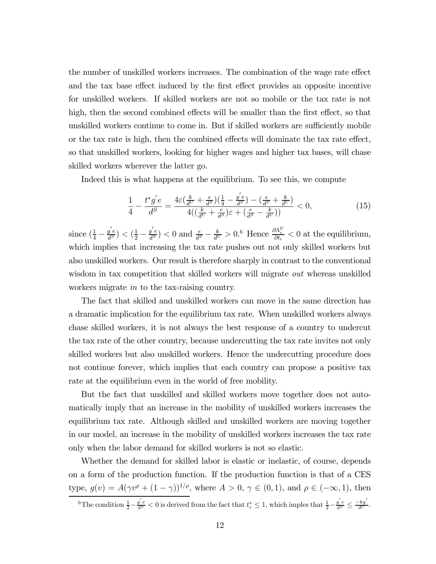the number of unskilled workers increases. The combination of the wage rate effect and the tax base effect induced by the first effect provides an opposite incentive for unskilled workers. If skilled workers are not so mobile or the tax rate is not high, then the second combined effects will be smaller than the first effect, so that unskilled workers continue to come in. But if skilled workers are sufficiently mobile or the tax rate is high, then the combined effects will dominate the tax rate effect, so that unskilled workers, looking for higher wages and higher tax bases, will chase skilled workers wherever the latter go.

Indeed this is what happens at the equilibrium. To see this, we compute

$$
\frac{1}{4} - \frac{t^*g'e}{d^S} = \frac{4\varepsilon \left(\frac{k}{d^U} + \frac{e}{d^S}\right)\left(\frac{1}{4} - \frac{g'e}{d^S}\right) - \left(\frac{e}{d^S} + \frac{k}{d^U}\right)}{4\left(\left(\frac{k}{d^U} + \frac{e}{d^S}\right)\varepsilon + \left(\frac{e}{d^S} - \frac{k}{d^U}\right)\right)} < 0,\tag{15}
$$

since  $(\frac{1}{4} - \frac{g'e}{d^S}) < (\frac{1}{2} - \frac{g'e}{d^S}) < 0$  and  $\frac{e}{d^S} - \frac{k}{d^U} > 0$ .<sup>6</sup> Hence  $\frac{\partial \Lambda_i^U}{\partial t_i} < 0$  at the equilibrium, which implies that increasing the tax rate pushes out not only skilled workers but also unskilled workers. Our result is therefore sharply in contrast to the conventional wisdom in tax competition that skilled workers will migrate *out* whereas unskilled workers migrate in to the tax-raising country.

The fact that skilled and unskilled workers can move in the same direction has a dramatic implication for the equilibrium tax rate. When unskilled workers always chase skilled workers, it is not always the best response of a country to undercut the tax rate of the other country, because undercutting the tax rate invites not only skilled workers but also unskilled workers. Hence the undercutting procedure does not continue forever, which implies that each country can propose a positive tax rate at the equilibrium even in the world of free mobility.

But the fact that unskilled and skilled workers move together does not automatically imply that an increase in the mobility of unskilled workers increases the equilibrium tax rate. Although skilled and unskilled workers are moving together in our model, an increase in the mobility of unskilled workers increases the tax rate only when the labor demand for skilled workers is not so elastic.

Whether the demand for skilled labor is elastic or inelastic, of course, depends on a form of the production function. If the production function is that of a CES type,  $g(v) = A(\gamma v^{\rho} + (1 - \gamma))^{1/\rho}$ , where  $A > 0$ ,  $\gamma \in (0, 1)$ , and  $\rho \in (-\infty, 1)$ , then

<sup>&</sup>lt;sup>6</sup>The condition  $\frac{1}{2} - \frac{g'e}{d^S} < 0$  is derived from the fact that  $t_i^* \leq 1$ , which imples that  $\frac{1}{2} - \frac{g'e}{d^S} \leq \frac{-kg'}{d^S}$ .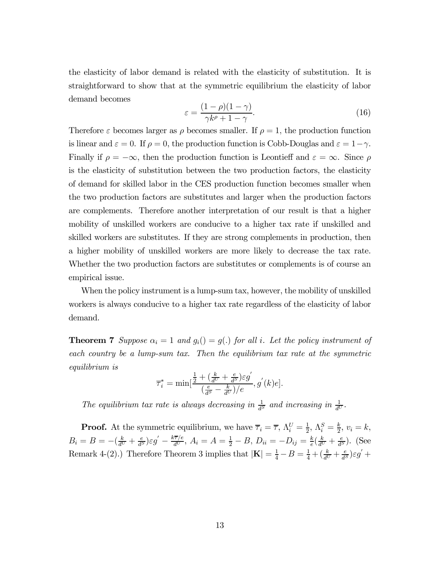the elasticity of labor demand is related with the elasticity of substitution. It is straightforward to show that at the symmetric equilibrium the elasticity of labor demand becomes

$$
\varepsilon = \frac{(1 - \rho)(1 - \gamma)}{\gamma k^{\rho} + 1 - \gamma}.
$$
\n(16)

Therefore  $\varepsilon$  becomes larger as  $\rho$  becomes smaller. If  $\rho = 1$ , the production function is linear and  $\varepsilon = 0$ . If  $\rho = 0$ , the production function is Cobb-Douglas and  $\varepsilon = 1 - \gamma$ . Finally if  $\rho = -\infty$ , then the production function is Leontieff and  $\varepsilon = \infty$ . Since  $\rho$ is the elasticity of substitution between the two production factors, the elasticity of demand for skilled labor in the CES production function becomes smaller when the two production factors are substitutes and larger when the production factors are complements. Therefore another interpretation of our result is that a higher mobility of unskilled workers are conducive to a higher tax rate if unskilled and skilled workers are substitutes. If they are strong complements in production, then a higher mobility of unskilled workers are more likely to decrease the tax rate. Whether the two production factors are substitutes or complements is of course an empirical issue.

When the policy instrument is a lump-sum tax, however, the mobility of unskilled workers is always conducive to a higher tax rate regardless of the elasticity of labor demand.

**Theorem 7** Suppose  $\alpha_i = 1$  and  $g_i() = g(.)$  for all i. Let the policy instrument of each country be a lump-sum tax. Then the equilibrium tax rate at the symmetric equilibrium is

$$
\overline{\tau}_i^* = \min[\frac{\frac{1}{2} + \left(\frac{k}{d^U} + \frac{e}{d^S}\right)\varepsilon g'}{\left(\frac{e}{d^S} - \frac{k}{d^U}\right)/e}, g^{'}(k)e].
$$

The equilibrium tax rate is always decreasing in  $\frac{1}{d^S}$  and increasing in  $\frac{1}{d^U}$ .

**Proof.** At the symmetric equilibrium, we have  $\overline{\tau}_i = \overline{\tau}$ ,  $\Lambda_i^U = \frac{1}{2}$ ,  $\Lambda_i^S = \frac{k}{2}$ ,  $v_i = k$ ,  $B_i = B = -(\frac{k}{d^U} + \frac{e}{d^S})\varepsilon g' - \frac{k\overline{\tau}/e}{d^U}, A_i = A = \frac{1}{2} - B, D_{ii} = -D_{ij} = \frac{k}{e}(\frac{k}{d^U} + \frac{e}{d^S}).$  (See Remark 4-(2).) Therefore Theorem 3 implies that  $|\mathbf{K}| = \frac{1}{4} - B = \frac{1}{4} + (\frac{k}{d^U} + \frac{e}{d^S})\varepsilon g' +$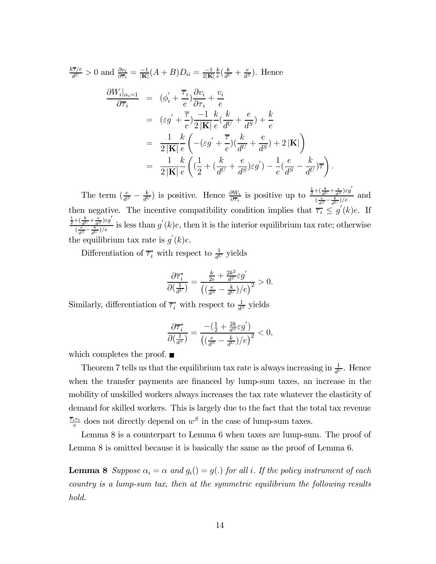$$
\frac{k\overline{\tau}/e}{d^U} > 0 \text{ and } \frac{\partial v_i}{\partial \overline{\tau}_i} = \frac{-1}{|\mathbf{K}|} (A + B) D_{ii} = \frac{-1}{2|\mathbf{K}|} \frac{k}{e} \left(\frac{k}{d^U} + \frac{e}{d^S}\right). \text{ Hence}
$$
\n
$$
\frac{\partial W_i|_{\alpha_i=1}}{\partial \overline{\tau}_i} = (\phi_i' + \frac{\overline{\tau}_i}{e}) \frac{\partial v_i}{\partial \tau_i} + \frac{v_i}{e}
$$
\n
$$
= (\varepsilon g' + \frac{\overline{\tau}}{e}) \frac{-1}{2|\mathbf{K}|} \frac{k}{e} \left(\frac{k}{d^U} + \frac{e}{d^S}\right) + \frac{k}{e}
$$
\n
$$
= \frac{1}{2|\mathbf{K}|} \frac{k}{e} \left(-(\varepsilon g' + \frac{\overline{\tau}}{e})\left(\frac{k}{d^U} + \frac{e}{d^S}\right) + 2|\mathbf{K}|\right)
$$
\n
$$
= \frac{1}{2|\mathbf{K}|} \frac{k}{e} \left(\left(\frac{1}{2} + \left(\frac{k}{d^U} + \frac{e}{d^S}\right)\varepsilon g'\right) - \frac{1}{e}\left(\frac{e}{d^S} - \frac{k}{d^U}\right)\overline{\tau}\right).
$$

The term  $\left(\frac{e}{d^S}-\frac{k}{d^U}\right)$  is positive. Hence  $\frac{\partial W_i}{\partial \overline{\tau}_i}$  is positive up to  $\frac{\frac{1}{2}+\left(\frac{k}{d^U}+\frac{e}{d^S}\right)\varepsilon g'}{\left(\frac{e}{d^S}-\frac{k}{d^U}\right)/e}$  $\frac{e}{\left(\frac{e}{d^S}-\frac{k}{d^U}\right)/e}$  and then negative. The incentive compatibility condition implies that  $\overline{\tau_i} \leq g'(k)e$ . If  $\frac{1}{2} + (\frac{k}{d^U} + \frac{e}{d^S})\varepsilon g'$  $\frac{\int_{\alpha}^{\alpha} \frac{dU}{dS} \int_{\alpha}^{\beta} g(y)}{(\frac{e}{dS} - \frac{k}{dU})/e}$  is less than  $g'(k)e$ , then it is the interior equilibrium tax rate; otherwise the equilibrium tax rate is  $g'(k)e$ .

Differentiation of  $\overline{\tau}_i^*$  with respect to  $\frac{1}{d^U}$  yields

$$
\frac{\partial \overline{\tau}_i^*}{\partial \left(\frac{1}{d^U}\right)} = \frac{\frac{k}{2e} + \frac{2k^2}{d^S} \varepsilon g'}{\left(\left(\frac{e}{d^S} - \frac{k}{d^U}\right)/e\right)^2} > 0.
$$

Similarly, differentiation of  $\overline{\tau}_i^*$  with respect to  $\frac{1}{d^S}$  yields

$$
\frac{\partial \overline{\tau}_i^*}{\partial \left(\frac{1}{d^S}\right)} = \frac{-\left(\frac{1}{2} + \frac{2k}{d^S} \varepsilon g'\right)}{\left(\left(\frac{e}{d^S} - \frac{k}{d^U}\right)/e\right)^2} < 0,
$$

which completes the proof.  $\blacksquare$ 

Theorem 7 tells us that the equilibrium tax rate is always increasing in  $\frac{1}{d^U}$ . Hence when the transfer payments are financed by lump-sum taxes, an increase in the mobility of unskilled workers always increases the tax rate whatever the elasticity of demand for skilled workers. This is largely due to the fact that the total tax revenue  $\frac{\overline{\tau_i}v_i}{e}$  does not directly depend on  $w^S$  in the case of lump-sum taxes.

Lemma 8 is a counterpart to Lemma 6 when taxes are lump-sum. The proof of Lemma 8 is omitted because it is basically the same as the proof of Lemma 6.

**Lemma 8** Suppose  $\alpha_i = \alpha$  and  $g_i() = g(.)$  for all i. If the policy instrument of each country is a lump-sum tax, then at the symmetric equilibrium the following results hold.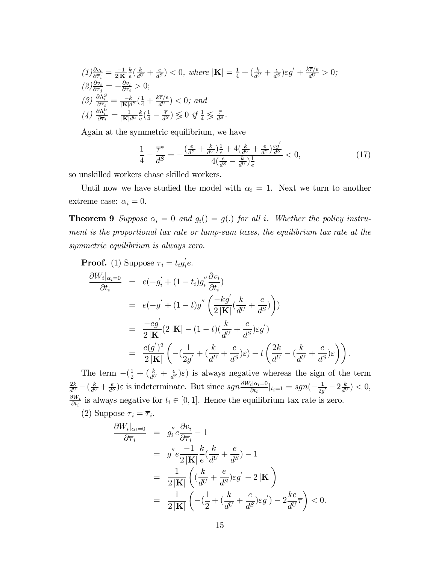$$
(1) \frac{\partial v_i}{\partial \overline{\tau}_i} = \frac{-1}{2|\mathbf{K}|} \frac{k}{e} \left( \frac{k}{d^U} + \frac{e}{d^S} \right) < 0, \text{ where } |\mathbf{K}| = \frac{1}{4} + \left( \frac{k}{d^U} + \frac{e}{d^S} \right) \varepsilon g' + \frac{k\overline{\tau}/e}{d^U} > 0;
$$
\n
$$
(2) \frac{\partial v_i}{\partial \overline{\tau}_j} = -\frac{\partial v_i}{\partial \overline{\tau}_i} > 0;
$$
\n
$$
(3) \frac{\partial \Lambda_i^S}{\partial \overline{\tau}_i} = \frac{-k}{|\mathbf{K}|d^S} \left( \frac{1}{4} + \frac{k\overline{\tau}/e}{d^U} \right) < 0; \text{ and}
$$
\n
$$
(4) \frac{\partial \Lambda_i^V}{\partial \overline{\tau}_i} = \frac{1}{|\mathbf{K}|d^U} \frac{k}{e} \left( \frac{1}{4} - \frac{\overline{\tau}}{d^S} \right) \leq 0 \text{ if } \frac{1}{4} \leq \frac{\overline{\tau}}{d^S}.
$$

Again at the symmetric equilibrium, we have

$$
\frac{1}{4} - \frac{\overline{\tau}^*}{d^S} = -\frac{\left(\frac{e}{d^S} + \frac{k}{d^U}\right)\frac{1}{e} + 4\left(\frac{k}{d^U} + \frac{e}{d^S}\right)\frac{\varepsilon g'}{d^S}}{4\left(\frac{e}{d^S} - \frac{k}{d^U}\right)\frac{1}{e}} < 0,\tag{17}
$$

so unskilled workers chase skilled workers.

Until now we have studied the model with  $\alpha_i = 1$ . Next we turn to another extreme case:  $\alpha_i = 0$ .

**Theorem 9** Suppose  $\alpha_i = 0$  and  $g_i() = g(.)$  for all i. Whether the policy instrument is the proportional tax rate or lump-sum taxes, the equilibrium tax rate at the symmetric equilibrium is always zero.

**Proof.** (1) Suppose  $\tau_i = t_i g_i' e$ .

$$
\frac{\partial W_i|_{\alpha_i=0}}{\partial t_i} = e(-g_i' + (1-t_i)g_i'' \frac{\partial v_i}{\partial t_i})
$$
  
\n
$$
= e(-g' + (1-t)g'' \left(\frac{-kg'}{2|\mathbf{K}|} (\frac{k}{d^U} + \frac{e}{d^S})\right))
$$
  
\n
$$
= \frac{-eg'}{2|\mathbf{K}|} (2|\mathbf{K}| - (1-t) (\frac{k}{d^U} + \frac{e}{d^S})\varepsilon g')
$$
  
\n
$$
= \frac{e(g')^2}{2|\mathbf{K}|} \left( -(\frac{1}{2g'} + (\frac{k}{d^U} + \frac{e}{d^S})\varepsilon) - t \left(\frac{2k}{d^U} - (\frac{k}{d^U} + \frac{e}{d^S})\varepsilon \right) \right).
$$

The term  $-(\frac{1}{2} + (\frac{k}{d^U} + \frac{e}{d^S})\varepsilon)$  is always negative whereas the sign of the term  $\frac{2k}{d^U} - \left(\frac{k}{d^U} + \frac{e}{d^S}\right)\varepsilon$  is indeterminate. But since  $sgn \frac{\partial W_i|\alpha_i=0}{\partial t_i}|_{t_i=1} = sgn(-\frac{1}{2g'} - 2\frac{k}{d^U}) < 0$ ,  $\frac{\partial W_i}{\partial t_i}$  is always negative for  $t_i \in [0, 1]$ . Hence the equilibrium tax rate is zero.

(2) Suppose  $\tau_i = \overline{\tau}_i$ .

$$
\frac{\partial W_i|_{\alpha_i=0}}{\partial \overline{\tau}_i} = g_i'' e \frac{\partial v_i}{\partial \overline{\tau}_i} - 1
$$
  
\n
$$
= g'' e \frac{-1}{2|\mathbf{K}|} \frac{k}{e} (\frac{k}{d^U} + \frac{e}{d^S}) - 1
$$
  
\n
$$
= \frac{1}{2|\mathbf{K}|} \left( (\frac{k}{d^U} + \frac{e}{d^S}) \varepsilon g' - 2|\mathbf{K}| \right)
$$
  
\n
$$
= \frac{1}{2|\mathbf{K}|} \left( -(\frac{1}{2} + (\frac{k}{d^U} + \frac{e}{d^S}) \varepsilon g') - 2\frac{k e}{d^U} \overline{\tau} \right) < 0.
$$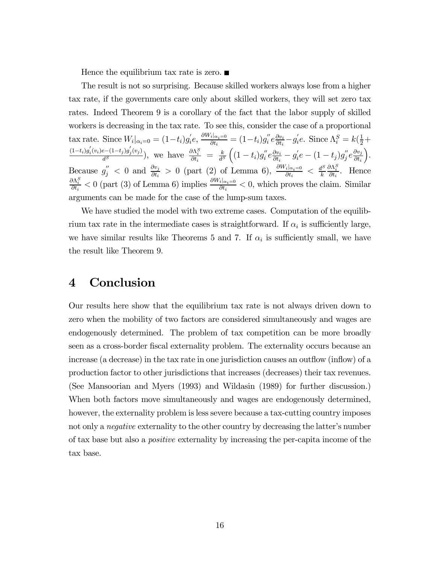Hence the equilibrium tax rate is zero.  $\blacksquare$ 

The result is not so surprising. Because skilled workers always lose from a higher tax rate, if the governments care only about skilled workers, they will set zero tax rates. Indeed Theorem 9 is a corollary of the fact that the labor supply of skilled workers is decreasing in the tax rate. To see this, consider the case of a proportional tax rate. Since  $W_i|_{\alpha_i=0} = (1-t_i)g_i'e, \frac{\partial W_i|_{\alpha_i=0}}{\partial t_i} = (1-t_i)g_i''e\frac{\partial v_i}{\partial t_i} - g_i'e.$  Since  $\Lambda_i^S = k(\frac{1}{2}+\frac{1}{2})$  $\frac{(1-t_i)g'_i(v_i)e-(1-t_j)g'_j(v_j)}{d^S}$ , we have  $\frac{\partial \Lambda_i^S}{\partial t_i} = \frac{k}{d^S}$  $\Bigl((1-t_i)g_i^{''}e^{\frac{\partial v_i}{\partial t_i}}-g_i^{'}e-(1-t_j)g_j^{''}e^{\frac{\partial v_j}{\partial t_i}}\nonumber\\$  $\partial t_i$ ´ . Because  $g''_j < 0$  and  $\frac{\partial v_j}{\partial t_i} > 0$  (part (2) of Lemma 6),  $\frac{\partial W_i|_{\alpha_i=0}}{\partial t_i} < \frac{d^S}{k}$  $\frac{\partial \Lambda_i^S}{\partial t_i}$ . Hence  $\frac{\partial \Lambda_i^S}{\partial t_i} < 0$  (part (3) of Lemma 6) implies  $\frac{\partial W_i|_{\alpha_i=0}}{\partial t_i} < 0$ , which proves the claim. Similar arguments can be made for the case of the lump-sum taxes.

We have studied the model with two extreme cases. Computation of the equilibrium tax rate in the intermediate cases is straightforward. If  $\alpha_i$  is sufficiently large, we have similar results like Theorems 5 and 7. If  $\alpha_i$  is sufficiently small, we have the result like Theorem 9.

### 4 Conclusion

Our results here show that the equilibrium tax rate is not always driven down to zero when the mobility of two factors are considered simultaneously and wages are endogenously determined. The problem of tax competition can be more broadly seen as a cross-border fiscal externality problem. The externality occurs because an increase (a decrease) in the tax rate in one jurisdiction causes an outflow (inflow) of a production factor to other jurisdictions that increases (decreases) their tax revenues. (See Mansoorian and Myers (1993) and Wildasin (1989) for further discussion.) When both factors move simultaneously and wages are endogenously determined, however, the externality problem is less severe because a tax-cutting country imposes not only a negative externality to the other country by decreasing the latter's number of tax base but also a positive externality by increasing the per-capita income of the tax base.